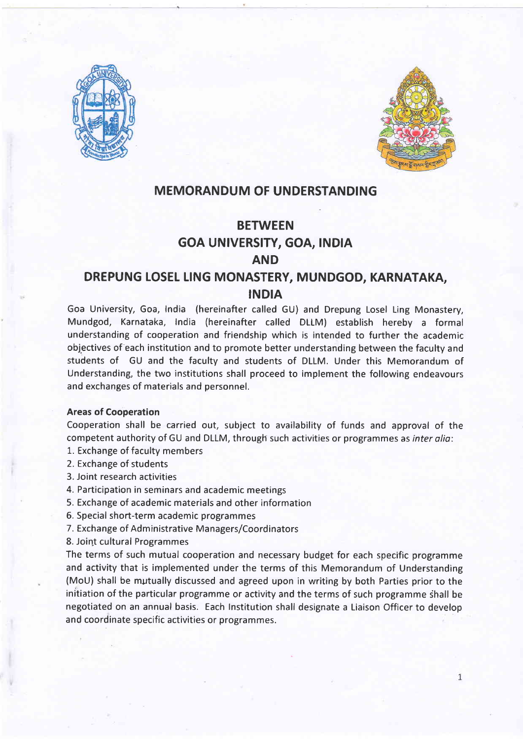



### MEMORANDUM OF UNDERSTANDING

# **BETWEEN** GOA UN|VERS|TY, GOA, tND|A AND

## DREPUNG LOSEL LING MONASTERY, MUNDGOD, KARNATAKA, INDIA

Goa University, Goa, India (hereinafter called GU) and Drepung Losel Ling Monastery, Mundgod, Karnataka, India (hereinafter called DLLM) establish hereby a formal understanding of cooperation and friendship which is intended to further the academic objectives of each institution and to promote better understanding between the faculty and students of GU and the faculty and students of DLLM. Under this Memorandum of Understanding, the two institutions shall proceed to implement the following endeavours and exchanges of materials and personnel.

### Areas of Cooperation

Cooperation shall be carried out, subject to availability of funds and approval of the competent authority of GU and DLLM, through such activities or programmes as inter alio:

- 1. Exchange of faculty members
- 2. Exchange of students
- 3. Joint research activities
- 4. Participation in seminars and academic meetings
- 5. Exchange of academic materials and other information
- 5. Special short-term academic programmes
- 7. Exchange of Administrative Managers/Coordinators
- 8. Joint cultural Programmes

The terms of such mutual cooperation and necessary budget for each specific programme and activity that is implemented under the terms of this Memorandum of Understanding (MoU) shall be mutually discussed and agreed upon in writing by both Parties prior to the initiation of the particular programme or activity and the terms of such programme shall be negotiated on an annual basis. Each Institution shall designate a Liaison Officer to develop and coordinate specific activities or programmes.